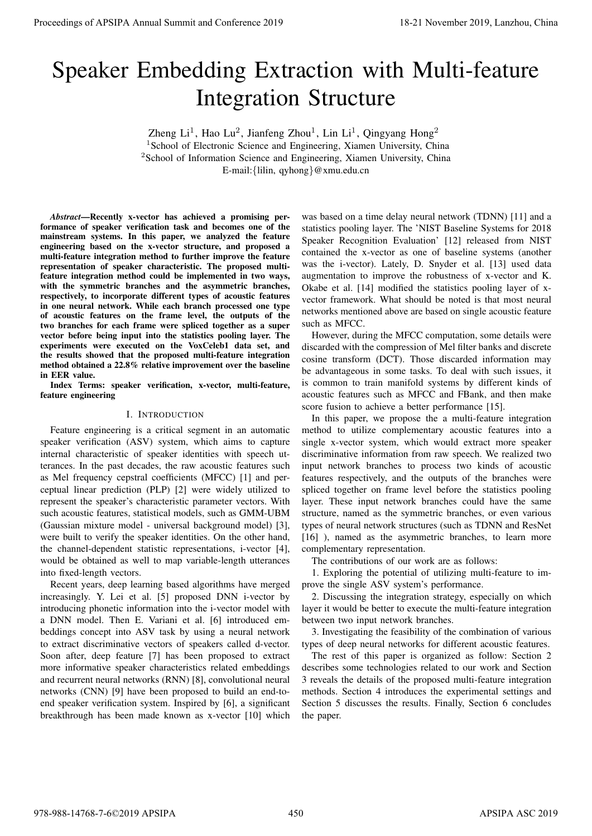# Speaker Embedding Extraction with Multi-feature Integration Structure

Zheng Li<sup>1</sup>, Hao Lu<sup>2</sup>, Jianfeng Zhou<sup>1</sup>, Lin Li<sup>1</sup>, Qingyang Hong<sup>2</sup> <sup>1</sup>School of Electronic Science and Engineering, Xiamen University, China <sup>2</sup>School of Information Science and Engineering, Xiamen University, China E-mail:*{*lilin, qyhong*}*@xmu.edu.cn

*Abstract*—Recently x-vector has achieved a promising performance of speaker verification task and becomes one of the mainstream systems. In this paper, we analyzed the feature engineering based on the x-vector structure, and proposed a multi-feature integration method to further improve the feature representation of speaker characteristic. The proposed multifeature integration method could be implemented in two ways, with the symmetric branches and the asymmetric branches, respectively, to incorporate different types of acoustic features in one neural network. While each branch processed one type of acoustic features on the frame level, the outputs of the two branches for each frame were spliced together as a super vector before being input into the statistics pooling layer. The experiments were executed on the VoxCeleb1 data set, and the results showed that the proposed multi-feature integration method obtained a 22.8% relative improvement over the baseline in EER value. **Proceedings of APSIPA Annual Summit at Conference 2019**<br>
Special distribution of **Structure** Integration of **Structure** Integration of **Structure** Integration of  $P_{\text{max}}$  and  $P_{\text{max}}$  and  $P_{\text{max}}$  and  $P_{\text{max}}$  and  $P$ 

Index Terms: speaker verification, x-vector, multi-feature, feature engineering

## I. INTRODUCTION

Feature engineering is a critical segment in an automatic speaker verification (ASV) system, which aims to capture internal characteristic of speaker identities with speech utterances. In the past decades, the raw acoustic features such as Mel frequency cepstral coefficients (MFCC) [1] and perceptual linear prediction (PLP) [2] were widely utilized to represent the speaker's characteristic parameter vectors. With such acoustic features, statistical models, such as GMM-UBM (Gaussian mixture model - universal background model) [3], were built to verify the speaker identities. On the other hand, the channel-dependent statistic representations, i-vector [4], would be obtained as well to map variable-length utterances into fixed-length vectors.

Recent years, deep learning based algorithms have merged increasingly. Y. Lei et al. [5] proposed DNN i-vector by introducing phonetic information into the i-vector model with a DNN model. Then E. Variani et al. [6] introduced embeddings concept into ASV task by using a neural network to extract discriminative vectors of speakers called d-vector. Soon after, deep feature [7] has been proposed to extract more informative speaker characteristics related embeddings and recurrent neural networks (RNN) [8], convolutional neural networks (CNN) [9] have been proposed to build an end-toend speaker verification system. Inspired by [6], a significant breakthrough has been made known as x-vector [10] which

was based on a time delay neural network (TDNN) [11] and a statistics pooling layer. The 'NIST Baseline Systems for 2018 Speaker Recognition Evaluation' [12] released from NIST contained the x-vector as one of baseline systems (another was the i-vector). Lately, D. Snyder et al. [13] used data augmentation to improve the robustness of x-vector and K. Okabe et al. [14] modified the statistics pooling layer of xvector framework. What should be noted is that most neural networks mentioned above are based on single acoustic feature such as MFCC.

However, during the MFCC computation, some details were discarded with the compression of Mel filter banks and discrete cosine transform (DCT). Those discarded information may be advantageous in some tasks. To deal with such issues, it is common to train manifold systems by different kinds of acoustic features such as MFCC and FBank, and then make score fusion to achieve a better performance [15].

In this paper, we propose the a multi-feature integration method to utilize complementary acoustic features into a single x-vector system, which would extract more speaker discriminative information from raw speech. We realized two input network branches to process two kinds of acoustic features respectively, and the outputs of the branches were spliced together on frame level before the statistics pooling layer. These input network branches could have the same structure, named as the symmetric branches, or even various types of neural network structures (such as TDNN and ResNet [16] ), named as the asymmetric branches, to learn more complementary representation.

The contributions of our work are as follows:

1. Exploring the potential of utilizing multi-feature to improve the single ASV system's performance.

2. Discussing the integration strategy, especially on which layer it would be better to execute the multi-feature integration between two input network branches.

3. Investigating the feasibility of the combination of various types of deep neural networks for different acoustic features.

The rest of this paper is organized as follow: Section 2 describes some technologies related to our work and Section 3 reveals the details of the proposed multi-feature integration methods. Section 4 introduces the experimental settings and Section 5 discusses the results. Finally, Section 6 concludes the paper.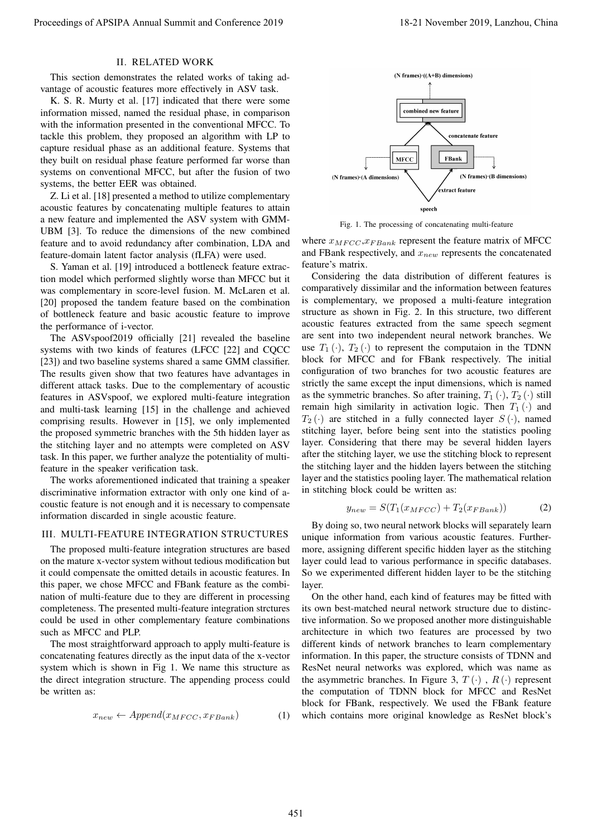# II. RELATED WORK

This section demonstrates the related works of taking advantage of acoustic features more effectively in ASV task.

K. S. R. Murty et al. [17] indicated that there were some information missed, named the residual phase, in comparison with the information presented in the conventional MFCC. To tackle this problem, they proposed an algorithm with LP to capture residual phase as an additional feature. Systems that they built on residual phase feature performed far worse than systems on conventional MFCC, but after the fusion of two systems, the better EER was obtained.

Z. Li et al. [18] presented a method to utilize complementary acoustic features by concatenating multiple features to attain a new feature and implemented the ASV system with GMM-UBM [3]. To reduce the dimensions of the new combined feature and to avoid redundancy after combination, LDA and feature-domain latent factor analysis (fLFA) were used.

S. Yaman et al. [19] introduced a bottleneck feature extraction model which performed slightly worse than MFCC but it was complementary in score-level fusion. M. McLaren et al. [20] proposed the tandem feature based on the combination of bottleneck feature and basic acoustic feature to improve the performance of i-vector.

The ASVspoof2019 officially [21] revealed the baseline systems with two kinds of features (LFCC [22] and CQCC [23]) and two baseline systems shared a same GMM classifier. The results given show that two features have advantages in different attack tasks. Due to the complementary of acoustic features in ASVspoof, we explored multi-feature integration and multi-task learning [15] in the challenge and achieved comprising results. However in [15], we only implemented the proposed symmetric branches with the 5th hidden layer as the stitching layer and no attempts were completed on ASV task. In this paper, we further analyze the potentiality of multifeature in the speaker verification task.

The works aforementioned indicated that training a speaker discriminative information extractor with only one kind of acoustic feature is not enough and it is necessary to compensate information discarded in single acoustic feature.

#### III. MULTI-FEATURE INTEGRATION STRUCTURES

The proposed multi-feature integration structures are based on the mature x-vector system without tedious modification but it could compensate the omitted details in acoustic features. In this paper, we chose MFCC and FBank feature as the combination of multi-feature due to they are different in processing completeness. The presented multi-feature integration strctures could be used in other complementary feature combinations such as MFCC and PLP.

The most straightforward approach to apply multi-feature is concatenating features directly as the input data of the x-vector system which is shown in Fig 1. We name this structure as the direct integration structure. The appending process could be written as:

$$
x_{new} \leftarrow Appendix_{MFCC}, x_{FBank})
$$
 (1)



Fig. 1. The processing of concatenating multi-feature

where  $x_{MFCC}, x_{FBank}$  represent the feature matrix of MFCC and FBank respectively, and *xnew* represents the concatenated feature's matrix.

Considering the data distribution of different features is comparatively dissimilar and the information between features is complementary, we proposed a multi-feature integration structure as shown in Fig. 2. In this structure, two different acoustic features extracted from the same speech segment are sent into two independent neural network branches. We use  $T_1(\cdot)$ ,  $T_2(\cdot)$  to represent the computaion in the TDNN block for MFCC and for FBank respectively. The initial configuration of two branches for two acoustic features are strictly the same except the input dimensions, which is named as the symmetric branches. So after training,  $T_1(\cdot)$ ,  $T_2(\cdot)$  still remain high similarity in activation logic. Then  $T_1(\cdot)$  and  $T_2(\cdot)$  are stitched in a fully connected layer  $S(\cdot)$ , named stitching layer, before being sent into the statistics pooling layer. Considering that there may be several hidden layers after the stitching layer, we use the stitching block to represent the stitching layer and the hidden layers between the stitching layer and the statistics pooling layer. The mathematical relation in stitching block could be written as: Proceeding of APSIPA Annual Summit at China 451 Annual Summit and Conference 2019 18-21 November 2019, Lanzhou, China 451 Annual Summit and Conference 2019, Lanzhou, China 451 Annual Summit and Conference 2019, Lanzhou, C

$$
y_{new} = S(T_1(x_{MFCC}) + T_2(x_{FBank}))
$$
 (2)

By doing so, two neural network blocks will separately learn unique information from various acoustic features. Furthermore, assigning different specific hidden layer as the stitching layer could lead to various performance in specific databases. So we experimented different hidden layer to be the stitching layer.

On the other hand, each kind of features may be fitted with its own best-matched neural network structure due to distinctive information. So we proposed another more distinguishable architecture in which two features are processed by two different kinds of network branches to learn complementary information. In this paper, the structure consists of TDNN and ResNet neural networks was explored, which was name as the asymmetric branches. In Figure 3,  $T(\cdot)$ ,  $R(\cdot)$  represent the computation of TDNN block for MFCC and ResNet block for FBank, respectively. We used the FBank feature which contains more original knowledge as ResNet block's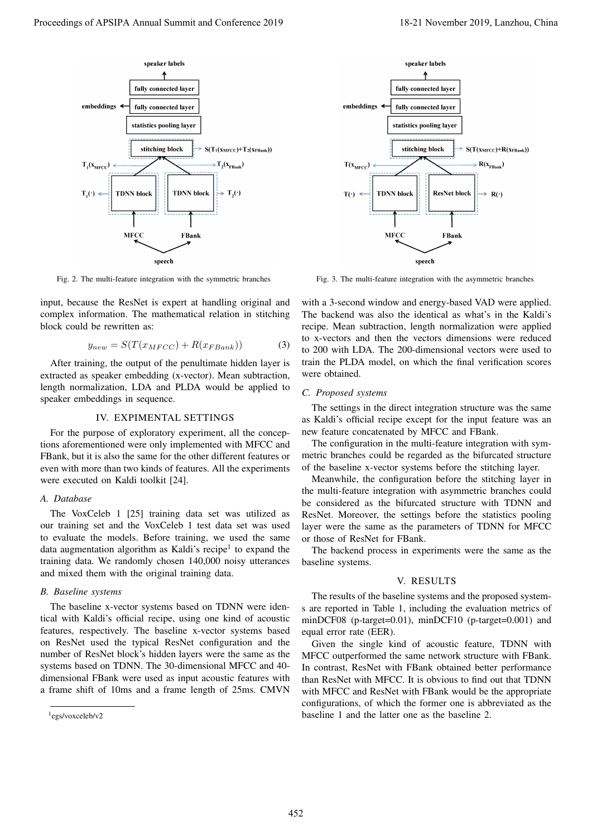

Fig. 2. The multi-feature integration with the symmetric branches

input, because the ResNet is expert at handling original and complex information. The mathematical relation in stitching block could be rewritten as:

$$
y_{new} = S(T(x_{MFCC}) + R(x_{FBank}))
$$
 (3)

After training, the output of the penultimate hidden layer is extracted as speaker embedding (x-vector). Mean subtraction, length normalization, LDA and PLDA would be applied to speaker embeddings in sequence.

#### IV. EXPIMENTAL SETTINGS

For the purpose of exploratory experiment, all the conceptions aforementioned were only implemented with MFCC and FBank, but it is also the same for the other different features or even with more than two kinds of features. All the experiments were executed on Kaldi toolkit [24].

#### *A. Database*

The VoxCeleb 1 [25] training data set was utilized as our training set and the VoxCeleb 1 test data set was used to evaluate the models. Before training, we used the same data augmentation algorithm as Kaldi's recipe<sup>1</sup> to expand the training data. We randomly chosen 140,000 noisy utterances and mixed them with the original training data.

## *B. Baseline systems*

The baseline x-vector systems based on TDNN were identical with Kaldi's official recipe, using one kind of acoustic features, respectively. The baseline x-vector systems based on ResNet used the typical ResNet configuration and the number of ResNet block's hidden layers were the same as the systems based on TDNN. The 30-dimensional MFCC and 40 dimensional FBank were used as input acoustic features with a frame shift of 10ms and a frame length of 25ms. CMVN

<sup>1</sup> egs/voxceleb/v2



Fig. 3. The multi-feature integration with the asymmetric branches

with a 3-second window and energy-based VAD were applied. The backend was also the identical as what's in the Kaldi's recipe. Mean subtraction, length normalization were applied to x-vectors and then the vectors dimensions were reduced to 200 with LDA. The 200-dimensional vectors were used to train the PLDA model, on which the final verification scores were obtained.

#### *C. Proposed systems*

The settings in the direct integration structure was the same as Kaldi's official recipe except for the input feature was an new feature concatenated by MFCC and FBank.

The configuration in the multi-feature integration with symmetric branches could be regarded as the bifurcated structure of the baseline x-vector systems before the stitching layer.

Meanwhile, the configuration before the stitching layer in the multi-feature integration with asymmetric branches could be considered as the bifurcated structure with TDNN and ResNet. Moreover, the settings before the statistics pooling layer were the same as the parameters of TDNN for MFCC or those of ResNet for FBank.

The backend process in experiments were the same as the baseline systems.

## V. RESULTS

The results of the baseline systems and the proposed systems are reported in Table 1, including the evaluation metrics of minDCF08 (p-target=0.01), minDCF10 (p-target=0.001) and equal error rate (EER).

Given the single kind of acoustic feature, TDNN with MFCC outperformed the same network structure with FBank. In contrast, ResNet with FBank obtained better performance than ResNet with MFCC. It is obvious to find out that TDNN with MFCC and ResNet with FBank would be the appropriate configurations, of which the former one is abbreviated as the baseline 1 and the latter one as the baseline 2.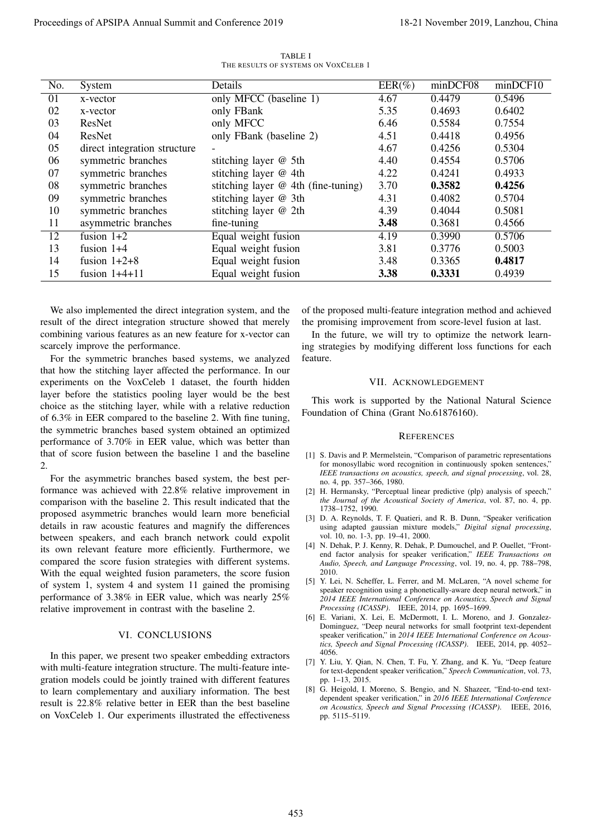|                                                                                                                                                                                                                                                                                                                        |                                                                                                                                                                                                                                                                                                                                                                                                                                                                                                                                                                                                                                                                                                                                                                                                                                                                                                                                                                                                                                                                                                                                                                                                                                                   | TABLE I                                         |                                                                                                                                                                                                                                                                                                                                                                                                                                                                                                                                                                                                                                                         |                                    |                                                                                                                                                                                                                                                                                                                                                                                                                                                                                                                                                                                                                                                                                                                                                                                                                                                                                                                                                                                                                                                                                                    |          |
|------------------------------------------------------------------------------------------------------------------------------------------------------------------------------------------------------------------------------------------------------------------------------------------------------------------------|---------------------------------------------------------------------------------------------------------------------------------------------------------------------------------------------------------------------------------------------------------------------------------------------------------------------------------------------------------------------------------------------------------------------------------------------------------------------------------------------------------------------------------------------------------------------------------------------------------------------------------------------------------------------------------------------------------------------------------------------------------------------------------------------------------------------------------------------------------------------------------------------------------------------------------------------------------------------------------------------------------------------------------------------------------------------------------------------------------------------------------------------------------------------------------------------------------------------------------------------------|-------------------------------------------------|---------------------------------------------------------------------------------------------------------------------------------------------------------------------------------------------------------------------------------------------------------------------------------------------------------------------------------------------------------------------------------------------------------------------------------------------------------------------------------------------------------------------------------------------------------------------------------------------------------------------------------------------------------|------------------------------------|----------------------------------------------------------------------------------------------------------------------------------------------------------------------------------------------------------------------------------------------------------------------------------------------------------------------------------------------------------------------------------------------------------------------------------------------------------------------------------------------------------------------------------------------------------------------------------------------------------------------------------------------------------------------------------------------------------------------------------------------------------------------------------------------------------------------------------------------------------------------------------------------------------------------------------------------------------------------------------------------------------------------------------------------------------------------------------------------------|----------|
| No.                                                                                                                                                                                                                                                                                                                    | System                                                                                                                                                                                                                                                                                                                                                                                                                                                                                                                                                                                                                                                                                                                                                                                                                                                                                                                                                                                                                                                                                                                                                                                                                                            | THE RESULTS OF SYSTEMS ON VOXCELEB 1<br>Details |                                                                                                                                                                                                                                                                                                                                                                                                                                                                                                                                                                                                                                                         | $EER(\%)$                          | minDCF08                                                                                                                                                                                                                                                                                                                                                                                                                                                                                                                                                                                                                                                                                                                                                                                                                                                                                                                                                                                                                                                                                           | minDCF10 |
| 01                                                                                                                                                                                                                                                                                                                     | x-vector                                                                                                                                                                                                                                                                                                                                                                                                                                                                                                                                                                                                                                                                                                                                                                                                                                                                                                                                                                                                                                                                                                                                                                                                                                          | only MFCC (baseline 1)                          |                                                                                                                                                                                                                                                                                                                                                                                                                                                                                                                                                                                                                                                         | 4.67                               | 0.4479                                                                                                                                                                                                                                                                                                                                                                                                                                                                                                                                                                                                                                                                                                                                                                                                                                                                                                                                                                                                                                                                                             | 0.5496   |
| 02                                                                                                                                                                                                                                                                                                                     | x-vector                                                                                                                                                                                                                                                                                                                                                                                                                                                                                                                                                                                                                                                                                                                                                                                                                                                                                                                                                                                                                                                                                                                                                                                                                                          | only FBank                                      |                                                                                                                                                                                                                                                                                                                                                                                                                                                                                                                                                                                                                                                         | 5.35                               | 0.4693                                                                                                                                                                                                                                                                                                                                                                                                                                                                                                                                                                                                                                                                                                                                                                                                                                                                                                                                                                                                                                                                                             | 0.6402   |
| 03                                                                                                                                                                                                                                                                                                                     | ResNet                                                                                                                                                                                                                                                                                                                                                                                                                                                                                                                                                                                                                                                                                                                                                                                                                                                                                                                                                                                                                                                                                                                                                                                                                                            | only MFCC                                       |                                                                                                                                                                                                                                                                                                                                                                                                                                                                                                                                                                                                                                                         | 6.46                               | 0.5584                                                                                                                                                                                                                                                                                                                                                                                                                                                                                                                                                                                                                                                                                                                                                                                                                                                                                                                                                                                                                                                                                             | 0.7554   |
| 04                                                                                                                                                                                                                                                                                                                     | ResNet                                                                                                                                                                                                                                                                                                                                                                                                                                                                                                                                                                                                                                                                                                                                                                                                                                                                                                                                                                                                                                                                                                                                                                                                                                            | only FBank (baseline 2)                         |                                                                                                                                                                                                                                                                                                                                                                                                                                                                                                                                                                                                                                                         | 4.51                               | 0.4418                                                                                                                                                                                                                                                                                                                                                                                                                                                                                                                                                                                                                                                                                                                                                                                                                                                                                                                                                                                                                                                                                             | 0.4956   |
| 05                                                                                                                                                                                                                                                                                                                     | direct integration structure                                                                                                                                                                                                                                                                                                                                                                                                                                                                                                                                                                                                                                                                                                                                                                                                                                                                                                                                                                                                                                                                                                                                                                                                                      |                                                 |                                                                                                                                                                                                                                                                                                                                                                                                                                                                                                                                                                                                                                                         | 4.67                               | 0.4256                                                                                                                                                                                                                                                                                                                                                                                                                                                                                                                                                                                                                                                                                                                                                                                                                                                                                                                                                                                                                                                                                             | 0.5304   |
| 06                                                                                                                                                                                                                                                                                                                     | symmetric branches                                                                                                                                                                                                                                                                                                                                                                                                                                                                                                                                                                                                                                                                                                                                                                                                                                                                                                                                                                                                                                                                                                                                                                                                                                | stitching layer @ 5th                           |                                                                                                                                                                                                                                                                                                                                                                                                                                                                                                                                                                                                                                                         | 4.40                               | 0.4554                                                                                                                                                                                                                                                                                                                                                                                                                                                                                                                                                                                                                                                                                                                                                                                                                                                                                                                                                                                                                                                                                             | 0.5706   |
| 07                                                                                                                                                                                                                                                                                                                     | symmetric branches                                                                                                                                                                                                                                                                                                                                                                                                                                                                                                                                                                                                                                                                                                                                                                                                                                                                                                                                                                                                                                                                                                                                                                                                                                | stitching layer @ 4th                           |                                                                                                                                                                                                                                                                                                                                                                                                                                                                                                                                                                                                                                                         | 4.22                               | 0.4241                                                                                                                                                                                                                                                                                                                                                                                                                                                                                                                                                                                                                                                                                                                                                                                                                                                                                                                                                                                                                                                                                             | 0.4933   |
| 08                                                                                                                                                                                                                                                                                                                     | symmetric branches                                                                                                                                                                                                                                                                                                                                                                                                                                                                                                                                                                                                                                                                                                                                                                                                                                                                                                                                                                                                                                                                                                                                                                                                                                | stitching layer $@$ 4th (fine-tuning)           |                                                                                                                                                                                                                                                                                                                                                                                                                                                                                                                                                                                                                                                         | 3.70                               | 0.3582                                                                                                                                                                                                                                                                                                                                                                                                                                                                                                                                                                                                                                                                                                                                                                                                                                                                                                                                                                                                                                                                                             | 0.4256   |
| 09                                                                                                                                                                                                                                                                                                                     | symmetric branches                                                                                                                                                                                                                                                                                                                                                                                                                                                                                                                                                                                                                                                                                                                                                                                                                                                                                                                                                                                                                                                                                                                                                                                                                                | stitching layer @ 3th                           |                                                                                                                                                                                                                                                                                                                                                                                                                                                                                                                                                                                                                                                         | 4.31                               | 0.4082                                                                                                                                                                                                                                                                                                                                                                                                                                                                                                                                                                                                                                                                                                                                                                                                                                                                                                                                                                                                                                                                                             | 0.5704   |
| 10                                                                                                                                                                                                                                                                                                                     | symmetric branches                                                                                                                                                                                                                                                                                                                                                                                                                                                                                                                                                                                                                                                                                                                                                                                                                                                                                                                                                                                                                                                                                                                                                                                                                                | stitching layer @ 2th                           |                                                                                                                                                                                                                                                                                                                                                                                                                                                                                                                                                                                                                                                         | 4.39                               | 0.4044                                                                                                                                                                                                                                                                                                                                                                                                                                                                                                                                                                                                                                                                                                                                                                                                                                                                                                                                                                                                                                                                                             | 0.5081   |
| 11                                                                                                                                                                                                                                                                                                                     | asymmetric branches                                                                                                                                                                                                                                                                                                                                                                                                                                                                                                                                                                                                                                                                                                                                                                                                                                                                                                                                                                                                                                                                                                                                                                                                                               | fine-tuning                                     |                                                                                                                                                                                                                                                                                                                                                                                                                                                                                                                                                                                                                                                         | 3.48                               | 0.3681                                                                                                                                                                                                                                                                                                                                                                                                                                                                                                                                                                                                                                                                                                                                                                                                                                                                                                                                                                                                                                                                                             | 0.4566   |
| 12                                                                                                                                                                                                                                                                                                                     | fusion $1+2$                                                                                                                                                                                                                                                                                                                                                                                                                                                                                                                                                                                                                                                                                                                                                                                                                                                                                                                                                                                                                                                                                                                                                                                                                                      | Equal weight fusion                             |                                                                                                                                                                                                                                                                                                                                                                                                                                                                                                                                                                                                                                                         | $\overline{4.19}$                  | 0.3990                                                                                                                                                                                                                                                                                                                                                                                                                                                                                                                                                                                                                                                                                                                                                                                                                                                                                                                                                                                                                                                                                             | 0.5706   |
| 13                                                                                                                                                                                                                                                                                                                     | fusion $1+4$                                                                                                                                                                                                                                                                                                                                                                                                                                                                                                                                                                                                                                                                                                                                                                                                                                                                                                                                                                                                                                                                                                                                                                                                                                      | Equal weight fusion                             |                                                                                                                                                                                                                                                                                                                                                                                                                                                                                                                                                                                                                                                         | 3.81                               | 0.3776                                                                                                                                                                                                                                                                                                                                                                                                                                                                                                                                                                                                                                                                                                                                                                                                                                                                                                                                                                                                                                                                                             | 0.5003   |
| 14                                                                                                                                                                                                                                                                                                                     | fusion $1+2+8$                                                                                                                                                                                                                                                                                                                                                                                                                                                                                                                                                                                                                                                                                                                                                                                                                                                                                                                                                                                                                                                                                                                                                                                                                                    | Equal weight fusion                             |                                                                                                                                                                                                                                                                                                                                                                                                                                                                                                                                                                                                                                                         | 3.48                               | 0.3365                                                                                                                                                                                                                                                                                                                                                                                                                                                                                                                                                                                                                                                                                                                                                                                                                                                                                                                                                                                                                                                                                             | 0.4817   |
| 15                                                                                                                                                                                                                                                                                                                     | fusion $1+4+11$                                                                                                                                                                                                                                                                                                                                                                                                                                                                                                                                                                                                                                                                                                                                                                                                                                                                                                                                                                                                                                                                                                                                                                                                                                   | Equal weight fusion                             |                                                                                                                                                                                                                                                                                                                                                                                                                                                                                                                                                                                                                                                         | 3.38                               | 0.3331                                                                                                                                                                                                                                                                                                                                                                                                                                                                                                                                                                                                                                                                                                                                                                                                                                                                                                                                                                                                                                                                                             | 0.4939   |
|                                                                                                                                                                                                                                                                                                                        | We also implemented the direct integration system, and the<br>result of the direct integration structure showed that merely<br>combining various features as an new feature for x-vector can<br>scarcely improve the performance.<br>For the symmetric branches based systems, we analyzed<br>that how the stitching layer affected the performance. In our<br>experiments on the VoxCeleb 1 dataset, the fourth hidden                                                                                                                                                                                                                                                                                                                                                                                                                                                                                                                                                                                                                                                                                                                                                                                                                           |                                                 | of the proposed multi-feature integration method and achieved<br>the promising improvement from score-level fusion at last.<br>ing strategies by modifying different loss functions for each<br>feature.                                                                                                                                                                                                                                                                                                                                                                                                                                                |                                    | In the future, we will try to optimize the network learn-<br>VII. ACKNOWLEDGEMENT                                                                                                                                                                                                                                                                                                                                                                                                                                                                                                                                                                                                                                                                                                                                                                                                                                                                                                                                                                                                                  |          |
| layer before the statistics pooling layer would be the best<br>choice as the stitching layer, while with a relative reduction<br>of 6.3% in EER compared to the baseline 2. With fine tuning,<br>the symmetric branches based system obtained an optimized<br>performance of 3.70% in EER value, which was better than |                                                                                                                                                                                                                                                                                                                                                                                                                                                                                                                                                                                                                                                                                                                                                                                                                                                                                                                                                                                                                                                                                                                                                                                                                                                   |                                                 | This work is supported by the National Natural Science<br>Foundation of China (Grant No.61876160).<br><b>REFERENCES</b><br>[1] S. Davis and P. Mermelstein, "Comparison of parametric representations                                                                                                                                                                                                                                                                                                                                                                                                                                                   |                                    |                                                                                                                                                                                                                                                                                                                                                                                                                                                                                                                                                                                                                                                                                                                                                                                                                                                                                                                                                                                                                                                                                                    |          |
|                                                                                                                                                                                                                                                                                                                        | that of score fusion between the baseline 1 and the baseline<br>For the asymmetric branches based system, the best per-<br>formance was achieved with 22.8% relative improvement in<br>comparison with the baseline 2. This result indicated that the<br>proposed asymmetric branches would learn more beneficial<br>details in raw acoustic features and magnify the differences<br>between speakers, and each branch network could expolit<br>its own relevant feature more efficiently. Furthermore, we<br>compared the score fusion strategies with different systems.<br>With the equal weighted fusion parameters, the score fusion<br>of system 1, system 4 and system 11 gained the promising<br>performance of 3.38% in EER value, which was nearly 25%<br>relative improvement in contrast with the baseline 2.<br>VI. CONCLUSIONS<br>In this paper, we present two speaker embedding extractors<br>with multi-feature integration structure. The multi-feature inte-<br>gration models could be jointly trained with different features<br>to learn complementary and auxiliary information. The best<br>result is 22.8% relative better in EER than the best baseline<br>on VoxCeleb 1. Our experiments illustrated the effectiveness |                                                 | no. 4, pp. 357–366, 1980.<br>[2] H. Hermansky, "Perceptual linear predictive (plp) analysis of speech,"<br>1738-1752, 1990.<br>[3] D. A. Reynolds, T. F. Quatieri, and R. B. Dunn, "Speaker verification<br>[4] N. Dehak, P. J. Kenny, R. Dehak, P. Dumouchel, and P. Ouellet, "Front-<br>2010.<br>[5] Y. Lei, N. Scheffer, L. Ferrer, and M. McLaren, "A novel scheme for<br>[6] E. Variani, X. Lei, E. McDermott, I. L. Moreno, and J. Gonzalez-<br>4056.<br>[7] Y. Liu, Y. Qian, N. Chen, T. Fu, Y. Zhang, and K. Yu, "Deep feature"<br>pp. 1–13, 2015.<br>[8] G. Heigold, I. Moreno, S. Bengio, and N. Shazeer, "End-to-end text-<br>pp. 5115–5119. | vol. 10, no. 1-3, pp. 19-41, 2000. | for monosyllabic word recognition in continuously spoken sentences,"<br>IEEE transactions on acoustics, speech, and signal processing, vol. 28,<br>the Journal of the Acoustical Society of America, vol. 87, no. 4, pp.<br>using adapted gaussian mixture models," Digital signal processing,<br>end factor analysis for speaker verification," IEEE Transactions on<br>Audio, Speech, and Language Processing, vol. 19, no. 4, pp. 788-798,<br>speaker recognition using a phonetically-aware deep neural network," in<br>2014 IEEE International Conference on Acoustics, Speech and Signal<br>Processing (ICASSP). IEEE, 2014, pp. 1695–1699.<br>Dominguez, "Deep neural networks for small footprint text-dependent<br>speaker verification," in 2014 IEEE International Conference on Acous-<br>tics, Speech and Signal Processing (ICASSP). IEEE, 2014, pp. 4052-<br>for text-dependent speaker verification," Speech Communication, vol. 73,<br>dependent speaker verification," in 2016 IEEE International Conference<br>on Acoustics, Speech and Signal Processing (ICASSP). IEEE, 2016, |          |
|                                                                                                                                                                                                                                                                                                                        |                                                                                                                                                                                                                                                                                                                                                                                                                                                                                                                                                                                                                                                                                                                                                                                                                                                                                                                                                                                                                                                                                                                                                                                                                                                   | 453                                             |                                                                                                                                                                                                                                                                                                                                                                                                                                                                                                                                                                                                                                                         |                                    |                                                                                                                                                                                                                                                                                                                                                                                                                                                                                                                                                                                                                                                                                                                                                                                                                                                                                                                                                                                                                                                                                                    |          |

TABLE I THE RESULTS OF SYSTEMS ON VOXCELEB 1

# VI. CONCLUSIONS

# VII. ACKNOWLEDGEMENT

#### **REFERENCES**

- [1] S. Davis and P. Mermelstein, "Comparison of parametric representations for monosyllabic word recognition in continuously spoken sentences," *IEEE transactions on acoustics, speech, and signal processing*, vol. 28, no. 4, pp. 357–366, 1980.
- [2] H. Hermansky, "Perceptual linear predictive (plp) analysis of speech," *the Journal of the Acoustical Society of America*, vol. 87, no. 4, pp. 1738–1752, 1990.
- [3] D. A. Reynolds, T. F. Quatieri, and R. B. Dunn, "Speaker verification using adapted gaussian mixture models," *Digital signal processing*, vol. 10, no. 1-3, pp. 19–41, 2000.
- [4] N. Dehak, P. J. Kenny, R. Dehak, P. Dumouchel, and P. Ouellet, "Frontend factor analysis for speaker verification," *IEEE Transactions on Audio, Speech, and Language Processing*, vol. 19, no. 4, pp. 788–798, 2010.
- [5] Y. Lei, N. Scheffer, L. Ferrer, and M. McLaren, "A novel scheme for speaker recognition using a phonetically-aware deep neural network," in *2014 IEEE International Conference on Acoustics, Speech and Signal Processing (ICASSP)*. IEEE, 2014, pp. 1695–1699.
- [6] E. Variani, X. Lei, E. McDermott, I. L. Moreno, and J. Gonzalez-Dominguez, "Deep neural networks for small footprint text-dependent speaker verification," in *2014 IEEE International Conference on Acoustics, Speech and Signal Processing (ICASSP)*. IEEE, 2014, pp. 4052– 4056.
- [7] Y. Liu, Y. Qian, N. Chen, T. Fu, Y. Zhang, and K. Yu, "Deep feature for text-dependent speaker verification," *Speech Communication*, vol. 73, pp. 1–13, 2015.
- [8] G. Heigold, I. Moreno, S. Bengio, and N. Shazeer, "End-to-end textdependent speaker verification," in *2016 IEEE International Conference on Acoustics, Speech and Signal Processing (ICASSP)*. IEEE, 2016, pp. 5115–5119.